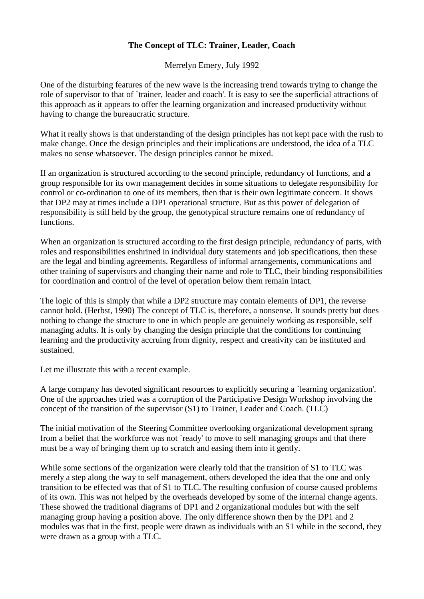## **The Concept of TLC: Trainer, Leader, Coach**

Merrelyn Emery, July 1992

One of the disturbing features of the new wave is the increasing trend towards trying to change the role of supervisor to that of `trainer, leader and coach'. It is easy to see the superficial attractions of this approach as it appears to offer the learning organization and increased productivity without having to change the bureaucratic structure.

What it really shows is that understanding of the design principles has not kept pace with the rush to make change. Once the design principles and their implications are understood, the idea of a TLC makes no sense whatsoever. The design principles cannot be mixed.

If an organization is structured according to the second principle, redundancy of functions, and a group responsible for its own management decides in some situations to delegate responsibility for control or co-ordination to one of its members, then that is their own legitimate concern. It shows that DP2 may at times include a DP1 operational structure. But as this power of delegation of responsibility is still held by the group, the genotypical structure remains one of redundancy of functions.

When an organization is structured according to the first design principle, redundancy of parts, with roles and responsibilities enshrined in individual duty statements and job specifications, then these are the legal and binding agreements. Regardless of informal arrangements, communications and other training of supervisors and changing their name and role to TLC, their binding responsibilities for coordination and control of the level of operation below them remain intact.

The logic of this is simply that while a DP2 structure may contain elements of DP1, the reverse cannot hold. (Herbst, 1990) The concept of TLC is, therefore, a nonsense. It sounds pretty but does nothing to change the structure to one in which people are genuinely working as responsible, self managing adults. It is only by changing the design principle that the conditions for continuing learning and the productivity accruing from dignity, respect and creativity can be instituted and sustained.

Let me illustrate this with a recent example.

A large company has devoted significant resources to explicitly securing a `learning organization'. One of the approaches tried was a corruption of the Participative Design Workshop involving the concept of the transition of the supervisor (S1) to Trainer, Leader and Coach. (TLC)

The initial motivation of the Steering Committee overlooking organizational development sprang from a belief that the workforce was not `ready' to move to self managing groups and that there must be a way of bringing them up to scratch and easing them into it gently.

While some sections of the organization were clearly told that the transition of S1 to TLC was merely a step along the way to self management, others developed the idea that the one and only transition to be effected was that of S1 to TLC. The resulting confusion of course caused problems of its own. This was not helped by the overheads developed by some of the internal change agents. These showed the traditional diagrams of DP1 and 2 organizational modules but with the self managing group having a position above. The only difference shown then by the DP1 and 2 modules was that in the first, people were drawn as individuals with an S1 while in the second, they were drawn as a group with a TLC.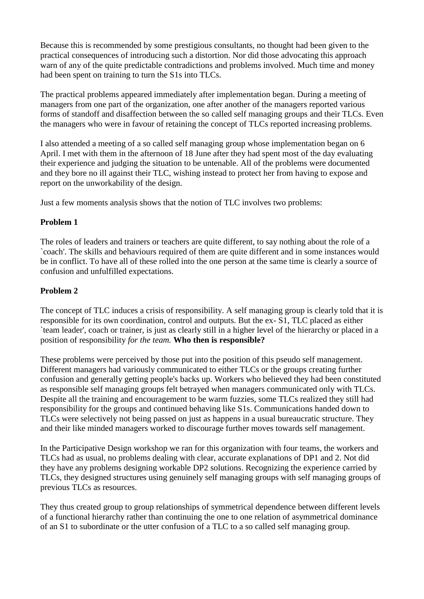Because this is recommended by some prestigious consultants, no thought had been given to the practical consequences of introducing such a distortion. Nor did those advocating this approach warn of any of the quite predictable contradictions and problems involved. Much time and money had been spent on training to turn the S1s into TLCs.

The practical problems appeared immediately after implementation began. During a meeting of managers from one part of the organization, one after another of the managers reported various forms of standoff and disaffection between the so called self managing groups and their TLCs. Even the managers who were in favour of retaining the concept of TLCs reported increasing problems.

I also attended a meeting of a so called self managing group whose implementation began on 6 April. I met with them in the afternoon of 18 June after they had spent most of the day evaluating their experience and judging the situation to be untenable. All of the problems were documented and they bore no ill against their TLC, wishing instead to protect her from having to expose and report on the unworkability of the design.

Just a few moments analysis shows that the notion of TLC involves two problems:

## **Problem 1**

The roles of leaders and trainers or teachers are quite different, to say nothing about the role of a `coach'. The skills and behaviours required of them are quite different and in some instances would be in conflict. To have all of these rolled into the one person at the same time is clearly a source of confusion and unfulfilled expectations.

## **Problem 2**

The concept of TLC induces a crisis of responsibility. A self managing group is clearly told that it is responsible for its own coordination, control and outputs. But the ex- S1, TLC placed as either `team leader', coach or trainer, is just as clearly still in a higher level of the hierarchy or placed in a position of responsibility *for the team.* **Who then is responsible?**

These problems were perceived by those put into the position of this pseudo self management. Different managers had variously communicated to either TLCs or the groups creating further confusion and generally getting people's backs up. Workers who believed they had been constituted as responsible self managing groups felt betrayed when managers communicated only with TLCs. Despite all the training and encouragement to be warm fuzzies, some TLCs realized they still had responsibility for the groups and continued behaving like S1s. Communications handed down to TLCs were selectively not being passed on just as happens in a usual bureaucratic structure. They and their like minded managers worked to discourage further moves towards self management.

In the Participative Design workshop we ran for this organization with four teams, the workers and TLCs had as usual, no problems dealing with clear, accurate explanations of DP1 and 2. Not did they have any problems designing workable DP2 solutions. Recognizing the experience carried by TLCs, they designed structures using genuinely self managing groups with self managing groups of previous TLCs as resources.

They thus created group to group relationships of symmetrical dependence between different levels of a functional hierarchy rather than continuing the one to one relation of asymmetrical dominance of an S1 to subordinate or the utter confusion of a TLC to a so called self managing group.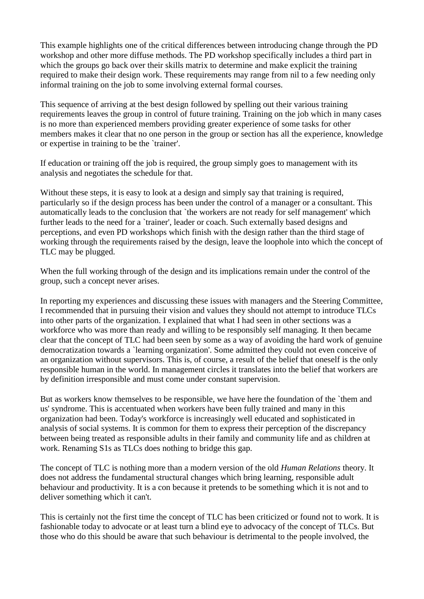This example highlights one of the critical differences between introducing change through the PD workshop and other more diffuse methods. The PD workshop specifically includes a third part in which the groups go back over their skills matrix to determine and make explicit the training required to make their design work. These requirements may range from nil to a few needing only informal training on the job to some involving external formal courses.

This sequence of arriving at the best design followed by spelling out their various training requirements leaves the group in control of future training. Training on the job which in many cases is no more than experienced members providing greater experience of some tasks for other members makes it clear that no one person in the group or section has all the experience, knowledge or expertise in training to be the `trainer'.

If education or training off the job is required, the group simply goes to management with its analysis and negotiates the schedule for that.

Without these steps, it is easy to look at a design and simply say that training is required, particularly so if the design process has been under the control of a manager or a consultant. This automatically leads to the conclusion that `the workers are not ready for self management' which further leads to the need for a `trainer', leader or coach. Such externally based designs and perceptions, and even PD workshops which finish with the design rather than the third stage of working through the requirements raised by the design, leave the loophole into which the concept of TLC may be plugged.

When the full working through of the design and its implications remain under the control of the group, such a concept never arises.

In reporting my experiences and discussing these issues with managers and the Steering Committee, I recommended that in pursuing their vision and values they should not attempt to introduce TLCs into other parts of the organization. I explained that what I had seen in other sections was a workforce who was more than ready and willing to be responsibly self managing. It then became clear that the concept of TLC had been seen by some as a way of avoiding the hard work of genuine democratization towards a `learning organization'. Some admitted they could not even conceive of an organization without supervisors. This is, of course, a result of the belief that oneself is the only responsible human in the world. In management circles it translates into the belief that workers are by definition irresponsible and must come under constant supervision.

But as workers know themselves to be responsible, we have here the foundation of the `them and us' syndrome. This is accentuated when workers have been fully trained and many in this organization had been. Today's workforce is increasingly well educated and sophisticated in analysis of social systems. It is common for them to express their perception of the discrepancy between being treated as responsible adults in their family and community life and as children at work. Renaming S1s as TLCs does nothing to bridge this gap.

The concept of TLC is nothing more than a modern version of the old *Human Relations* theory. It does not address the fundamental structural changes which bring learning, responsible adult behaviour and productivity. It is a con because it pretends to be something which it is not and to deliver something which it can't.

This is certainly not the first time the concept of TLC has been criticized or found not to work. It is fashionable today to advocate or at least turn a blind eye to advocacy of the concept of TLCs. But those who do this should be aware that such behaviour is detrimental to the people involved, the